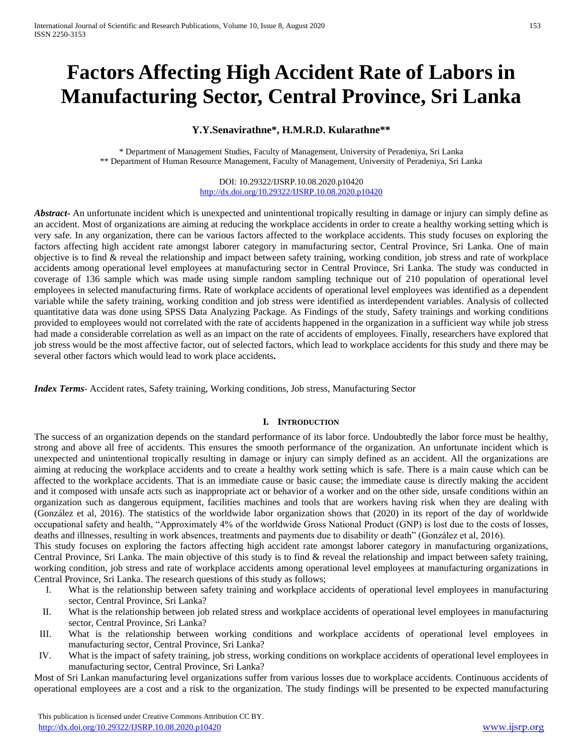# **Factors Affecting High Accident Rate of Labors in Manufacturing Sector, Central Province, Sri Lanka**

# **Y.Y.Senavirathne\*, H.M.R.D. Kularathne\*\***

\* Department of Management Studies, Faculty of Management, University of Peradeniya, Sri Lanka \*\* Department of Human Resource Management, Faculty of Management, University of Peradeniya, Sri Lanka

> DOI: 10.29322/IJSRP.10.08.2020.p10420 <http://dx.doi.org/10.29322/IJSRP.10.08.2020.p10420>

*Abstract* An unfortunate incident which is unexpected and unintentional tropically resulting in damage or injury can simply define as an accident. Most of organizations are aiming at reducing the workplace accidents in order to create a healthy working setting which is very safe. In any organization, there can be various factors affected to the workplace accidents. This study focuses on exploring the factors affecting high accident rate amongst laborer category in manufacturing sector, Central Province, Sri Lanka. One of main objective is to find & reveal the relationship and impact between safety training, working condition, job stress and rate of workplace accidents among operational level employees at manufacturing sector in Central Province, Sri Lanka. The study was conducted in coverage of 136 sample which was made using simple random sampling technique out of 210 population of operational level employees in selected manufacturing firms. Rate of workplace accidents of operational level employees was identified as a dependent variable while the safety training, working condition and job stress were identified as interdependent variables. Analysis of collected quantitative data was done using SPSS Data Analyzing Package. As Findings of the study, Safety trainings and working conditions provided to employees would not correlated with the rate of accidents happened in the organization in a sufficient way while job stress had made a considerable correlation as well as an impact on the rate of accidents of employees. Finally, researchers have explored that job stress would be the most affective factor, out of selected factors, which lead to workplace accidents for this study and there may be several other factors which would lead to work place accidents**.**

*Index Terms*- Accident rates, Safety training, Working conditions, Job stress, Manufacturing Sector

## **I. INTRODUCTION**

The success of an organization depends on the standard performance of its labor force. Undoubtedly the labor force must be healthy, strong and above all free of accidents. This ensures the smooth performance of the organization. An unfortunate incident which is unexpected and unintentional tropically resulting in damage or injury can simply defined as an accident. All the organizations are aiming at reducing the workplace accidents and to create a healthy work setting which is safe. There is a main cause which can be affected to the workplace accidents. That is an immediate cause or basic cause; the immediate cause is directly making the accident and it composed with unsafe acts such as inappropriate act or behavior of a worker and on the other side, unsafe conditions within an organization such as dangerous equipment, facilities machines and tools that are workers having risk when they are dealing with (González et al, 2016). The statistics of the worldwide labor organization shows that (2020) in its report of the day of worldwide occupational safety and health, "Approximately 4% of the worldwide Gross National Product (GNP) is lost due to the costs of losses, deaths and illnesses, resulting in work absences, treatments and payments due to disability or death" (González et al, 2016).

This study focuses on exploring the factors affecting high accident rate amongst laborer category in manufacturing organizations, Central Province, Sri Lanka. The main objective of this study is to find & reveal the relationship and impact between safety training, working condition, job stress and rate of workplace accidents among operational level employees at manufacturing organizations in Central Province, Sri Lanka. The research questions of this study as follows;

- I. What is the relationship between safety training and workplace accidents of operational level employees in manufacturing sector, Central Province, Sri Lanka?
- II. What is the relationship between job related stress and workplace accidents of operational level employees in manufacturing sector, Central Province, Sri Lanka?
- III. What is the relationship between working conditions and workplace accidents of operational level employees in manufacturing sector, Central Province, Sri Lanka?
- IV. What is the impact of safety training, job stress, working conditions on workplace accidents of operational level employees in manufacturing sector, Central Province, Sri Lanka?

Most of Sri Lankan manufacturing level organizations suffer from various losses due to workplace accidents. Continuous accidents of operational employees are a cost and a risk to the organization. The study findings will be presented to be expected manufacturing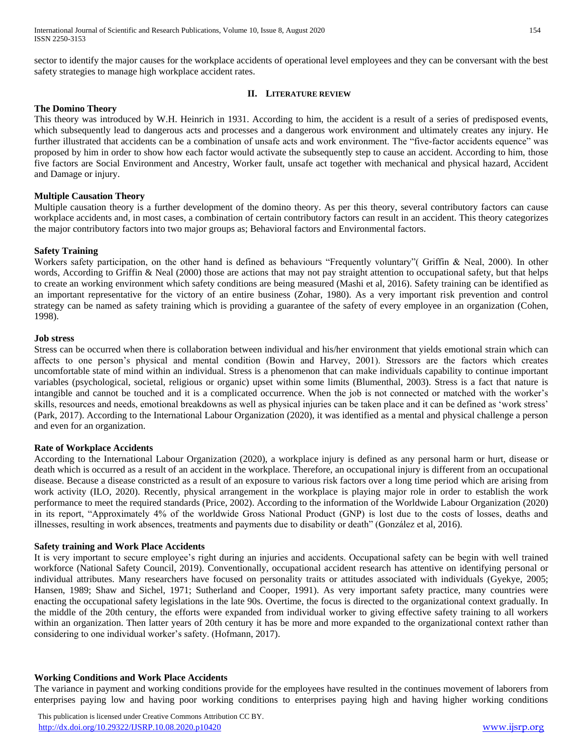sector to identify the major causes for the workplace accidents of operational level employees and they can be conversant with the best safety strategies to manage high workplace accident rates.

## **II. LITERATURE REVIEW**

## **The Domino Theory**

This theory was introduced by W.H. Heinrich in 1931. According to him, the accident is a result of a series of predisposed events, which subsequently lead to dangerous acts and processes and a dangerous work environment and ultimately creates any injury. He further illustrated that accidents can be a combination of unsafe acts and work environment. The "five-factor accidents equence" was proposed by him in order to show how each factor would activate the subsequently step to cause an accident. According to him, those five factors are Social Environment and Ancestry, Worker fault, unsafe act together with mechanical and physical hazard, Accident and Damage or injury.

## **Multiple Causation Theory**

Multiple causation theory is a further development of the domino theory. As per this theory, several contributory factors can cause workplace accidents and, in most cases, a combination of certain contributory factors can result in an accident. This theory categorizes the major contributory factors into two major groups as; Behavioral factors and Environmental factors.

## **Safety Training**

Workers safety participation, on the other hand is defined as behaviours "Frequently voluntary"( Griffin & Neal, 2000). In other words, According to Griffin & Neal (2000) those are actions that may not pay straight attention to occupational safety, but that helps to create an working environment which safety conditions are being measured (Mashi et al, 2016). Safety training can be identified as an important representative for the victory of an entire business (Zohar, 1980). As a very important risk prevention and control strategy can be named as safety training which is providing a guarantee of the safety of every employee in an organization (Cohen, 1998).

## **Job stress**

Stress can be occurred when there is collaboration between individual and his/her environment that yields emotional strain which can affects to one person's physical and mental condition (Bowin and Harvey, 2001). Stressors are the factors which creates uncomfortable state of mind within an individual. Stress is a phenomenon that can make individuals capability to continue important variables (psychological, societal, religious or organic) upset within some limits (Blumenthal, 2003). Stress is a fact that nature is intangible and cannot be touched and it is a complicated occurrence. When the job is not connected or matched with the worker's skills, resources and needs, emotional breakdowns as well as physical injuries can be taken place and it can be defined as 'work stress' (Park, 2017). According to the International Labour Organization (2020), it was identified as a mental and physical challenge a person and even for an organization.

## **Rate of Workplace Accidents**

According to the International Labour Organization (2020), a workplace injury is defined as any personal harm or hurt, disease or death which is occurred as a result of an accident in the workplace. Therefore, an occupational injury is different from an occupational disease. Because a disease constricted as a result of an exposure to various risk factors over a long time period which are arising from work activity (ILO, 2020). Recently, physical arrangement in the workplace is playing major role in order to establish the work performance to meet the required standards (Price, 2002). According to the information of the Worldwide Labour Organization (2020) in its report, "Approximately 4% of the worldwide Gross National Product (GNP) is lost due to the costs of losses, deaths and illnesses, resulting in work absences, treatments and payments due to disability or death" (González et al, 2016).

## **Safety training and Work Place Accidents**

It is very important to secure employee's right during an injuries and accidents. Occupational safety can be begin with well trained workforce (National Safety Council, 2019). Conventionally, occupational accident research has attentive on identifying personal or individual attributes. Many researchers have focused on personality traits or attitudes associated with individuals (Gyekye, 2005; Hansen, 1989; Shaw and Sichel, 1971; Sutherland and Cooper, 1991). As very important safety practice, many countries were enacting the occupational safety legislations in the late 90s. Overtime, the focus is directed to the organizational context gradually. In the middle of the 20th century, the efforts were expanded from individual worker to giving effective safety training to all workers within an organization. Then latter years of 20th century it has be more and more expanded to the organizational context rather than considering to one individual worker's safety. (Hofmann, 2017).

## **Working Conditions and Work Place Accidents**

The variance in payment and working conditions provide for the employees have resulted in the continues movement of laborers from enterprises paying low and having poor working conditions to enterprises paying high and having higher working conditions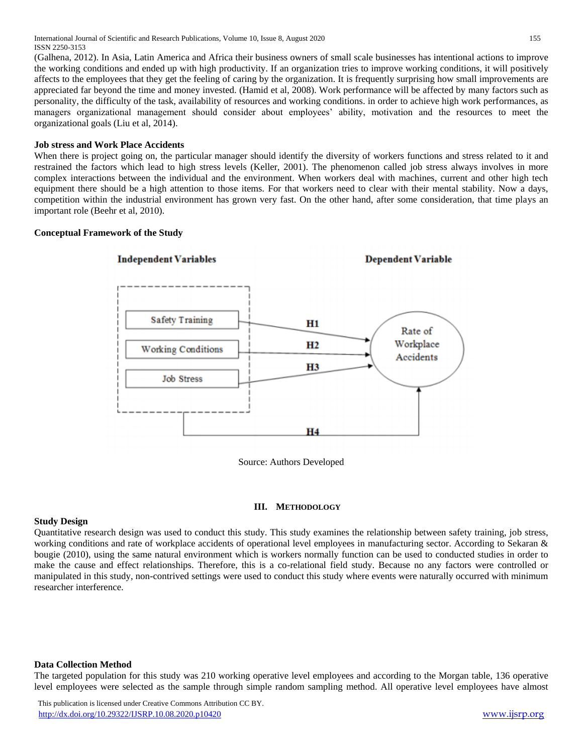International Journal of Scientific and Research Publications, Volume 10, Issue 8, August 2020 155 ISSN 2250-3153

(Galhena, 2012). In Asia, Latin America and Africa their business owners of small scale businesses has intentional actions to improve the working conditions and ended up with high productivity. If an organization tries to improve working conditions, it will positively affects to the employees that they get the feeling of caring by the organization. It is frequently surprising how small improvements are appreciated far beyond the time and money invested. (Hamid et al, 2008). Work performance will be affected by many factors such as personality, the difficulty of the task, availability of resources and working conditions. in order to achieve high work performances, as managers organizational management should consider about employees' ability, motivation and the resources to meet the organizational goals (Liu et al, 2014).

## **Job stress and Work Place Accidents**

When there is project going on, the particular manager should identify the diversity of workers functions and stress related to it and restrained the factors which lead to high stress levels (Keller, 2001). The phenomenon called job stress always involves in more complex interactions between the individual and the environment. When workers deal with machines, current and other high tech equipment there should be a high attention to those items. For that workers need to clear with their mental stability. Now a days, competition within the industrial environment has grown very fast. On the other hand, after some consideration, that time plays an important role (Beehr et al, 2010).

## **Conceptual Framework of the Study**



#### **III. METHODOLOGY**

## **Study Design**

Quantitative research design was used to conduct this study. This study examines the relationship between safety training, job stress, working conditions and rate of workplace accidents of operational level employees in manufacturing sector. According to Sekaran & bougie (2010), using the same natural environment which is workers normally function can be used to conducted studies in order to make the cause and effect relationships. Therefore, this is a co-relational field study. Because no any factors were controlled or manipulated in this study, non-contrived settings were used to conduct this study where events were naturally occurred with minimum researcher interference.

## **Data Collection Method**

The targeted population for this study was 210 working operative level employees and according to the Morgan table, 136 operative level employees were selected as the sample through simple random sampling method. All operative level employees have almost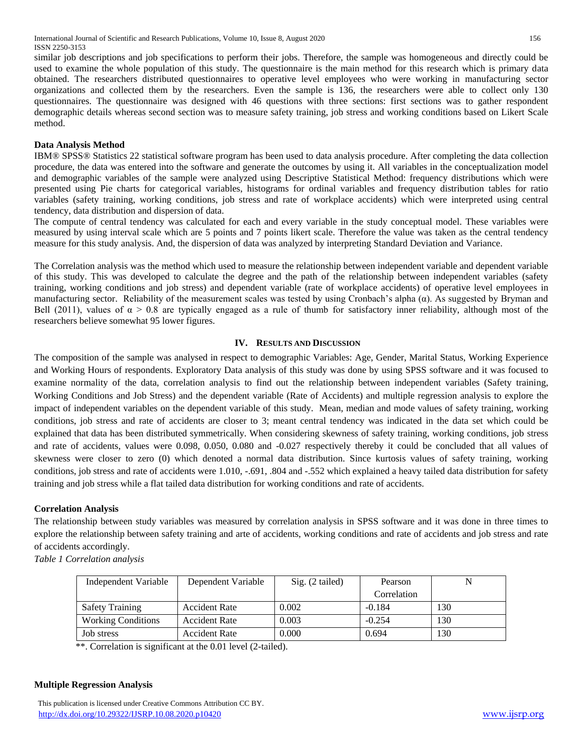similar job descriptions and job specifications to perform their jobs. Therefore, the sample was homogeneous and directly could be used to examine the whole population of this study. The questionnaire is the main method for this research which is primary data obtained. The researchers distributed questionnaires to operative level employees who were working in manufacturing sector organizations and collected them by the researchers. Even the sample is 136, the researchers were able to collect only 130 questionnaires. The questionnaire was designed with 46 questions with three sections: first sections was to gather respondent demographic details whereas second section was to measure safety training, job stress and working conditions based on Likert Scale method.

## **Data Analysis Method**

IBM® SPSS® Statistics 22 statistical software program has been used to data analysis procedure. After completing the data collection procedure, the data was entered into the software and generate the outcomes by using it. All variables in the conceptualization model and demographic variables of the sample were analyzed using Descriptive Statistical Method: frequency distributions which were presented using Pie charts for categorical variables, histograms for ordinal variables and frequency distribution tables for ratio variables (safety training, working conditions, job stress and rate of workplace accidents) which were interpreted using central tendency, data distribution and dispersion of data.

The compute of central tendency was calculated for each and every variable in the study conceptual model. These variables were measured by using interval scale which are 5 points and 7 points likert scale. Therefore the value was taken as the central tendency measure for this study analysis. And, the dispersion of data was analyzed by interpreting Standard Deviation and Variance.

The Correlation analysis was the method which used to measure the relationship between independent variable and dependent variable of this study. This was developed to calculate the degree and the path of the relationship between independent variables (safety training, working conditions and job stress) and dependent variable (rate of workplace accidents) of operative level employees in manufacturing sector. Reliability of the measurement scales was tested by using Cronbach's alpha  $(\alpha)$ . As suggested by Bryman and Bell (2011), values of  $\alpha > 0.8$  are typically engaged as a rule of thumb for satisfactory inner reliability, although most of the researchers believe somewhat 95 lower figures.

## **IV. RESULTS AND DISCUSSION**

The composition of the sample was analysed in respect to demographic Variables: Age, Gender, Marital Status, Working Experience and Working Hours of respondents. Exploratory Data analysis of this study was done by using SPSS software and it was focused to examine normality of the data, correlation analysis to find out the relationship between independent variables (Safety training, Working Conditions and Job Stress) and the dependent variable (Rate of Accidents) and multiple regression analysis to explore the impact of independent variables on the dependent variable of this study. Mean, median and mode values of safety training, working conditions, job stress and rate of accidents are closer to 3; meant central tendency was indicated in the data set which could be explained that data has been distributed symmetrically. When considering skewness of safety training, working conditions, job stress and rate of accidents, values were 0.098, 0.050, 0.080 and -0.027 respectively thereby it could be concluded that all values of skewness were closer to zero (0) which denoted a normal data distribution. Since kurtosis values of safety training, working conditions, job stress and rate of accidents were 1.010, -.691, .804 and -.552 which explained a heavy tailed data distribution for safety training and job stress while a flat tailed data distribution for working conditions and rate of accidents.

## **Correlation Analysis**

The relationship between study variables was measured by correlation analysis in SPSS software and it was done in three times to explore the relationship between safety training and arte of accidents, working conditions and rate of accidents and job stress and rate of accidents accordingly.

*Table 1 Correlation analysis*

| Independent Variable      | Dependent Variable   | $Sig. (2-tailed)$ | Pearson     | N   |
|---------------------------|----------------------|-------------------|-------------|-----|
|                           |                      |                   | Correlation |     |
| <b>Safety Training</b>    | <b>Accident Rate</b> | 0.002             | $-0.184$    | 130 |
| <b>Working Conditions</b> | <b>Accident Rate</b> | 0.003             | $-0.254$    | 130 |
| Job stress                | <b>Accident Rate</b> | 0.000             | 0.694       | 130 |

\*\*. Correlation is significant at the 0.01 level (2-tailed).

## **Multiple Regression Analysis**

This publication is licensed under Creative Commons Attribution CC BY. <http://dx.doi.org/10.29322/IJSRP.10.08.2020.p10420> [www.ijsrp.org](http://ijsrp.org/)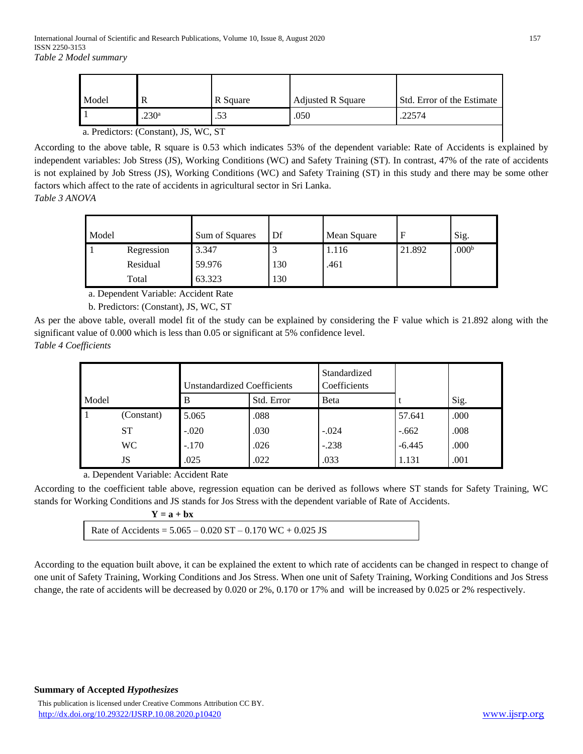| Model                                 |                   | R Square | <b>Adjusted R Square</b> | Std. Error of the Estimate |
|---------------------------------------|-------------------|----------|--------------------------|----------------------------|
|                                       | .230 <sup>a</sup> |          | .050                     | .22574                     |
| a. Predictors: (Constant), JS, WC, ST |                   |          |                          |                            |

According to the above table, R square is 0.53 which indicates 53% of the dependent variable: Rate of Accidents is explained by independent variables: Job Stress (JS), Working Conditions (WC) and Safety Training (ST). In contrast, 47% of the rate of accidents is not explained by Job Stress (JS), Working Conditions (WC) and Safety Training (ST) in this study and there may be some other factors which affect to the rate of accidents in agricultural sector in Sri Lanka.

*Table 3 ANOVA*

| Model |            | Sum of Squares | Df  | Mean Square |        | Sig.              |
|-------|------------|----------------|-----|-------------|--------|-------------------|
|       | Regression | 3.347          |     | 1.116       | 21.892 | .000 <sup>b</sup> |
|       | Residual   | 59.976         | 130 | .461        |        |                   |
|       | Total      | 63.323         | 130 |             |        |                   |

a. Dependent Variable: Accident Rate

b. Predictors: (Constant), JS, WC, ST

As per the above table, overall model fit of the study can be explained by considering the F value which is 21.892 along with the significant value of 0.000 which is less than 0.05 or significant at 5% confidence level. *Table 4 Coefficients*

|       |            | <b>Unstandardized Coefficients</b> |            | Standardized<br>Coefficients |          |      |
|-------|------------|------------------------------------|------------|------------------------------|----------|------|
| Model |            | B                                  | Std. Error | <b>B</b> eta                 |          | Sig. |
|       | (Constant) | 5.065                              | .088       |                              | 57.641   | .000 |
|       | <b>ST</b>  | $-.020$                            | .030       | $-.024$                      | $-.662$  | .008 |
|       | <b>WC</b>  | $-.170$                            | .026       | $-.238$                      | $-6.445$ | .000 |
|       | JS         | .025                               | .022       | .033                         | 1.131    | .001 |

a. Dependent Variable: Accident Rate

According to the coefficient table above, regression equation can be derived as follows where ST stands for Safety Training, WC stands for Working Conditions and JS stands for Jos Stress with the dependent variable of Rate of Accidents.

| $Y = a + bx$                                                     |  |
|------------------------------------------------------------------|--|
| Rate of Accidents = $5.065 - 0.020$ ST $- 0.170$ WC $+ 0.025$ JS |  |

According to the equation built above, it can be explained the extent to which rate of accidents can be changed in respect to change of one unit of Safety Training, Working Conditions and Jos Stress. When one unit of Safety Training, Working Conditions and Jos Stress change, the rate of accidents will be decreased by 0.020 or 2%, 0.170 or 17% and will be increased by 0.025 or 2% respectively.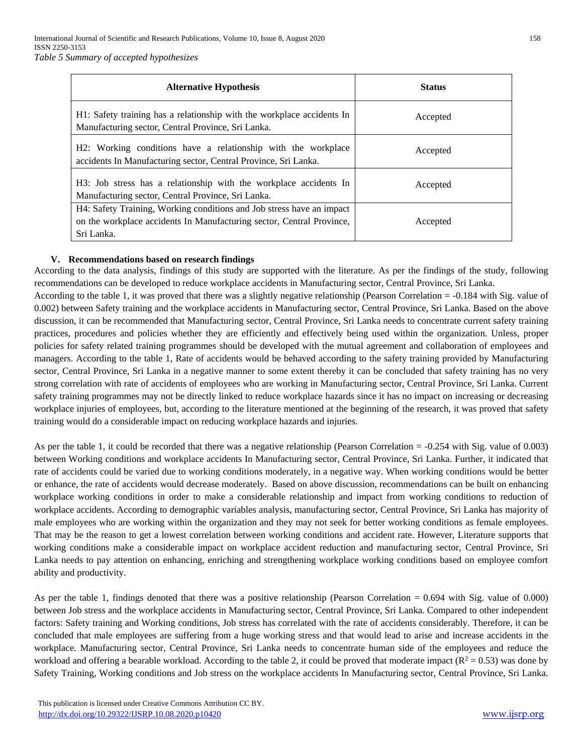| <b>Alternative Hypothesis</b>                                                                                                                                | <b>Status</b> |
|--------------------------------------------------------------------------------------------------------------------------------------------------------------|---------------|
| H1: Safety training has a relationship with the workplace accidents In<br>Manufacturing sector, Central Province, Sri Lanka.                                 | Accepted      |
| H2: Working conditions have a relationship with the workplace<br>accidents In Manufacturing sector, Central Province, Sri Lanka.                             | Accepted      |
| H3: Job stress has a relationship with the workplace accidents In<br>Manufacturing sector, Central Province, Sri Lanka.                                      | Accepted      |
| H4: Safety Training, Working conditions and Job stress have an impact<br>on the workplace accidents In Manufacturing sector, Central Province,<br>Sri Lanka. | Accepted      |

## **V. Recommendations based on research findings**

According to the data analysis, findings of this study are supported with the literature. As per the findings of the study, following recommendations can be developed to reduce workplace accidents in Manufacturing sector, Central Province, Sri Lanka.

According to the table 1, it was proved that there was a slightly negative relationship (Pearson Correlation = -0.184 with Sig. value of 0.002) between Safety training and the workplace accidents in Manufacturing sector, Central Province, Sri Lanka. Based on the above discussion, it can be recommended that Manufacturing sector, Central Province, Sri Lanka needs to concentrate current safety training practices, procedures and policies whether they are efficiently and effectively being used within the organization. Unless, proper policies for safety related training programmes should be developed with the mutual agreement and collaboration of employees and managers. According to the table 1, Rate of accidents would be behaved according to the safety training provided by Manufacturing sector, Central Province, Sri Lanka in a negative manner to some extent thereby it can be concluded that safety training has no very strong correlation with rate of accidents of employees who are working in Manufacturing sector, Central Province, Sri Lanka. Current safety training programmes may not be directly linked to reduce workplace hazards since it has no impact on increasing or decreasing workplace injuries of employees, but, according to the literature mentioned at the beginning of the research, it was proved that safety training would do a considerable impact on reducing workplace hazards and injuries.

As per the table 1, it could be recorded that there was a negative relationship (Pearson Correlation = -0.254 with Sig. value of 0.003) between Working conditions and workplace accidents In Manufacturing sector, Central Province, Sri Lanka. Further, it indicated that rate of accidents could be varied due to working conditions moderately, in a negative way. When working conditions would be better or enhance, the rate of accidents would decrease moderately. Based on above discussion, recommendations can be built on enhancing workplace working conditions in order to make a considerable relationship and impact from working conditions to reduction of workplace accidents. According to demographic variables analysis, manufacturing sector, Central Province, Sri Lanka has majority of male employees who are working within the organization and they may not seek for better working conditions as female employees. That may be the reason to get a lowest correlation between working conditions and accident rate. However, Literature supports that working conditions make a considerable impact on workplace accident reduction and manufacturing sector, Central Province, Sri Lanka needs to pay attention on enhancing, enriching and strengthening workplace working conditions based on employee comfort ability and productivity.

As per the table 1, findings denoted that there was a positive relationship (Pearson Correlation = 0.694 with Sig. value of 0.000) between Job stress and the workplace accidents in Manufacturing sector, Central Province, Sri Lanka. Compared to other independent factors: Safety training and Working conditions, Job stress has correlated with the rate of accidents considerably. Therefore, it can be concluded that male employees are suffering from a huge working stress and that would lead to arise and increase accidents in the workplace. Manufacturing sector, Central Province, Sri Lanka needs to concentrate human side of the employees and reduce the workload and offering a bearable workload. According to the table 2, it could be proved that moderate impact ( $R^2 = 0.53$ ) was done by Safety Training, Working conditions and Job stress on the workplace accidents In Manufacturing sector, Central Province, Sri Lanka.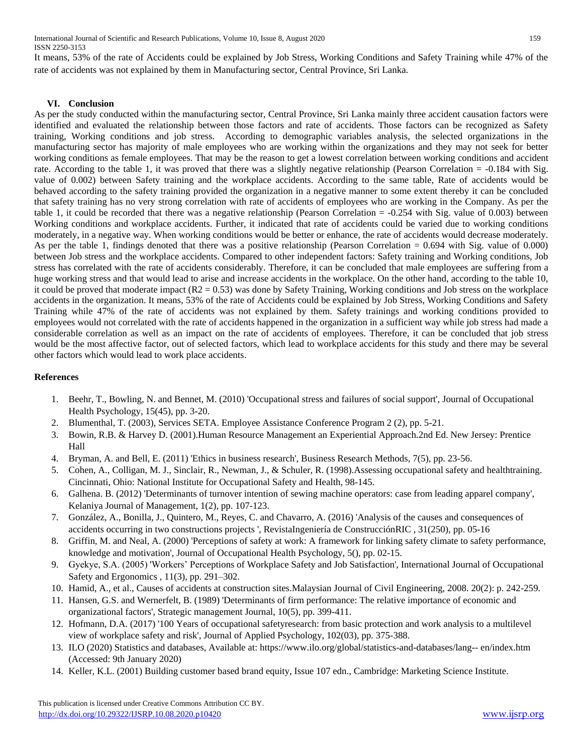International Journal of Scientific and Research Publications, Volume 10, Issue 8, August 2020 159 ISSN 2250-3153

It means, 53% of the rate of Accidents could be explained by Job Stress, Working Conditions and Safety Training while 47% of the rate of accidents was not explained by them in Manufacturing sector, Central Province, Sri Lanka.

## **VI. Conclusion**

As per the study conducted within the manufacturing sector, Central Province, Sri Lanka mainly three accident causation factors were identified and evaluated the relationship between those factors and rate of accidents. Those factors can be recognized as Safety training, Working conditions and job stress. According to demographic variables analysis, the selected organizations in the manufacturing sector has majority of male employees who are working within the organizations and they may not seek for better working conditions as female employees. That may be the reason to get a lowest correlation between working conditions and accident rate. According to the table 1, it was proved that there was a slightly negative relationship (Pearson Correlation = -0.184 with Sig. value of 0.002) between Safety training and the workplace accidents. According to the same table, Rate of accidents would be behaved according to the safety training provided the organization in a negative manner to some extent thereby it can be concluded that safety training has no very strong correlation with rate of accidents of employees who are working in the Company. As per the table 1, it could be recorded that there was a negative relationship (Pearson Correlation = -0.254 with Sig. value of 0.003) between Working conditions and workplace accidents. Further, it indicated that rate of accidents could be varied due to working conditions moderately, in a negative way. When working conditions would be better or enhance, the rate of accidents would decrease moderately. As per the table 1, findings denoted that there was a positive relationship (Pearson Correlation = 0.694 with Sig. value of 0.000) between Job stress and the workplace accidents. Compared to other independent factors: Safety training and Working conditions, Job stress has correlated with the rate of accidents considerably. Therefore, it can be concluded that male employees are suffering from a huge working stress and that would lead to arise and increase accidents in the workplace. On the other hand, according to the table 10, it could be proved that moderate impact  $(R2 = 0.53)$  was done by Safety Training, Working conditions and Job stress on the workplace accidents in the organization. It means, 53% of the rate of Accidents could be explained by Job Stress, Working Conditions and Safety Training while 47% of the rate of accidents was not explained by them. Safety trainings and working conditions provided to employees would not correlated with the rate of accidents happened in the organization in a sufficient way while job stress had made a considerable correlation as well as an impact on the rate of accidents of employees. Therefore, it can be concluded that job stress would be the most affective factor, out of selected factors, which lead to workplace accidents for this study and there may be several other factors which would lead to work place accidents.

## **References**

- 1. Beehr, T., Bowling, N. and Bennet, M. (2010) 'Occupational stress and failures of social support', Journal of Occupational Health Psychology, 15(45), pp. 3-20.
- 2. Blumenthal, T. (2003), Services SETA. Employee Assistance Conference Program 2 (2), pp. 5-21.
- 3. Bowin, R.B. & Harvey D. (2001).Human Resource Management an Experiential Approach.2nd Ed. New Jersey: Prentice Hall
- 4. Bryman, A. and Bell, E. (2011) 'Ethics in business research', Business Research Methods, 7(5), pp. 23-56.
- 5. Cohen, A., Colligan, M. J., Sinclair, R., Newman, J., & Schuler, R. (1998).Assessing occupational safety and healthtraining. Cincinnati, Ohio: National Institute for Occupational Safety and Health, 98-145.
- 6. Galhena. B. (2012) 'Determinants of turnover intention of sewing machine operators: case from leading apparel company', Kelaniya Journal of Management, 1(2), pp. 107-123.
- 7. González, A., Bonilla, J., Quintero, M., Reyes, C. and Chavarro, A. (2016) 'Analysis of the causes and consequences of accidents occurring in two constructions projects ', RevistaIngeniería de ConstrucciónRIC , 31(250), pp. 05-16
- 8. Griffin, M. and Neal, A. (2000) 'Perceptions of safety at work: A framework for linking safety climate to safety performance, knowledge and motivation', Journal of Occupational Health Psychology, 5(), pp. 02-15.
- 9. Gyekye, S.A. (2005) 'Workers' Perceptions of Workplace Safety and Job Satisfaction', International Journal of Occupational Safety and Ergonomics , 11(3), pp. 291–302.
- 10. Hamid, A., et al., Causes of accidents at construction sites.Malaysian Journal of Civil Engineering, 2008. 20(2): p. 242-259.
- 11. Hansen, G.S. and Wernerfelt, B. (1989) 'Determinants of firm performance: The relative importance of economic and organizational factors', Strategic management Journal, 10(5), pp. 399-411.
- 12. Hofmann, D.A. (2017) '100 Years of occupational safetyresearch: from basic protection and work analysis to a multilevel view of workplace safety and risk', Journal of Applied Psychology, 102(03), pp. 375-388.
- 13. ILO (2020) Statistics and databases, Available at: https://www.ilo.org/global/statistics-and-databases/lang-- en/index.htm (Accessed: 9th January 2020)
- 14. Keller, K.L. (2001) Building customer based brand equity, Issue 107 edn., Cambridge: Marketing Science Institute.